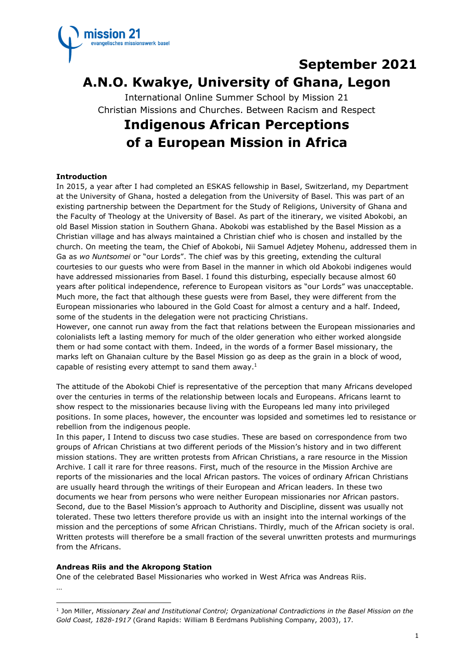

## **September 2021**

# **A.N.O. Kwakye, University of Ghana, Legon**

International Online Summer School by Mission 21 Christian Missions and Churches. Between Racism and Respect

# **Indigenous African Perceptions of a European Mission in Africa**

### **Introduction**

In 2015, a year after I had completed an ESKAS fellowship in Basel, Switzerland, my Department at the University of Ghana, hosted a delegation from the University of Basel. This was part of an existing partnership between the Department for the Study of Religions, University of Ghana and the Faculty of Theology at the University of Basel. As part of the itinerary, we visited Abokobi, an old Basel Mission station in Southern Ghana. Abokobi was established by the Basel Mission as a Christian village and has always maintained a Christian chief who is chosen and installed by the church. On meeting the team, the Chief of Abokobi, Nii Samuel Adjetey Mohenu, addressed them in Ga as *wo Nuntsomei* or "our Lords". The chief was by this greeting, extending the cultural courtesies to our guests who were from Basel in the manner in which old Abokobi indigenes would have addressed missionaries from Basel. I found this disturbing, especially because almost 60 years after political independence, reference to European visitors as "our Lords" was unacceptable. Much more, the fact that although these guests were from Basel, they were different from the European missionaries who laboured in the Gold Coast for almost a century and a half. Indeed, some of the students in the delegation were not practicing Christians.

However, one cannot run away from the fact that relations between the European missionaries and colonialists left a lasting memory for much of the older generation who either worked alongside them or had some contact with them. Indeed, in the words of a former Basel missionary, the marks left on Ghanaian culture by the Basel Mission go as deep as the grain in a block of wood, capable of resisting every attempt to sand them away. $1$ 

The attitude of the Abokobi Chief is representative of the perception that many Africans developed over the centuries in terms of the relationship between locals and Europeans. Africans learnt to show respect to the missionaries because living with the Europeans led many into privileged positions. In some places, however, the encounter was lopsided and sometimes led to resistance or rebellion from the indigenous people.

In this paper, I Intend to discuss two case studies. These are based on correspondence from two groups of African Christians at two different periods of the Mission's history and in two different mission stations. They are written protests from African Christians, a rare resource in the Mission Archive. I call it rare for three reasons. First, much of the resource in the Mission Archive are reports of the missionaries and the local African pastors. The voices of ordinary African Christians are usually heard through the writings of their European and African leaders. In these two documents we hear from persons who were neither European missionaries nor African pastors. Second, due to the Basel Mission's approach to Authority and Discipline, dissent was usually not tolerated. These two letters therefore provide us with an insight into the internal workings of the mission and the perceptions of some African Christians. Thirdly, much of the African society is oral. Written protests will therefore be a small fraction of the several unwritten protests and murmurings from the Africans.

#### **Andreas Riis and the Akropong Station**

One of the celebrated Basel Missionaries who worked in West Africa was Andreas Riis. …

<sup>1</sup> Jon Miller, *Missionary Zeal and Institutional Control; Organizational Contradictions in the Basel Mission on the Gold Coast, 1828-1917* (Grand Rapids: William B Eerdmans Publishing Company, 2003), 17.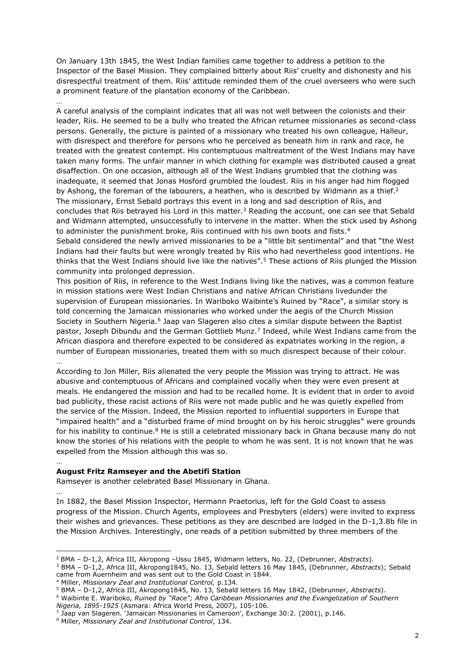On January 13th 1845, the West Indian families came together to address a petition to the Inspector of the Basel Mission. They complained bitterly about Riis' cruelty and dishonesty and his disrespectful treatment of them. Riis' attitude reminded them of the cruel overseers who were such a prominent feature of the plantation economy of the Caribbean.

… A careful analysis of the complaint indicates that all was not well between the colonists and their leader, Riis. He seemed to be a bully who treated the African returnee missionaries as second-class persons. Generally, the picture is painted of a missionary who treated his own colleague, Halleur, with disrespect and therefore for persons who he perceived as beneath him in rank and race, he treated with the greatest contempt. His contemptuous maltreatment of the West Indians may have taken many forms. The unfair manner in which clothing for example was distributed caused a great disaffection. On one occasion, although all of the West Indians grumbled that the clothing was inadequate, it seemed that Jonas Hosford grumbled the loudest. Riis in his anger had him flogged by Ashong, the foreman of the labourers, a heathen, who is described by Widmann as a thief.<sup>2</sup> The missionary, Ernst Sebald portrays this event in a long and sad description of Riis, and concludes that Riis betrayed his Lord in this matter.<sup>3</sup> Reading the account, one can see that Sebald and Widmann attempted, unsuccessfully to intervene in the matter. When the stick used by Ashong to administer the punishment broke, Riis continued with his own boots and fists.<sup>4</sup>

Sebald considered the newly arrived missionaries to be a "little bit sentimental" and that "the West Indians had their faults but were wrongly treated by Riis who had nevertheless good intentions. He thinks that the West Indians should live like the natives".<sup>5</sup> These actions of Riis plunged the Mission community into prolonged depression.

This position of Riis, in reference to the West Indians living like the natives, was a common feature in mission stations were West Indian Christians and native African Christians livedunder the supervision of European missionaries. In Wariboko Waibinte's Ruined by "Race", a similar story is told concerning the Jamaican missionaries who worked under the aegis of the Church Mission Society in Southern Nigeria.<sup>6</sup> Jaap van Slageren also cites a similar dispute between the Baptist pastor, Joseph Dibundu and the German Gottlieb Munz.<sup>7</sup> Indeed, while West Indians came from the African diaspora and therefore expected to be considered as expatriates working in the region, a number of European missionaries, treated them with so much disrespect because of their colour.

According to Jon Miller, Riis alienated the very people the Mission was trying to attract. He was abusive and contemptuous of Africans and complained vocally when they were even present at meals. He endangered the mission and had to be recalled home. It is evident that in order to avoid bad publicity, these racist actions of Riis were not made public and he was quietly expelled from the service of the Mission. Indeed, the Mission reported to influential supporters in Europe that "impaired health" and a "disturbed frame of mind brought on by his heroic struggles" were grounds for his inability to continue.<sup>8</sup> He is still a celebrated missionary back in Ghana because many do not know the stories of his relations with the people to whom he was sent. It is not known that he was expelled from the Mission although this was so.

#### **August Fritz Ramseyer and the Abetifi Station**

…

…

Ramseyer is another celebrated Basel Missionary in Ghana.

… In 1882, the Basel Mission Inspector, Hermann Praetorius, left for the Gold Coast to assess progress of the Mission. Church Agents, employees and Presbyters (elders) were invited to express their wishes and grievances. These petitions as they are described are lodged in the D-1,3.8b file in the Mission Archives. Interestingly, one reads of a petition submitted by three members of the

<sup>2</sup> BMA – D-1,2, Africa III, Akropong –Ussu 1845, Widmann letters, No. 22, (Debrunner, *Abstracts*).

<sup>3</sup> BMA – D-1,2, Africa III, Akropong1845, No. 13, Sebald letters 16 May 1845, (Debrunner, *Abstracts*); Sebald came from Auernheim and was sent out to the Gold Coast in 1844.

<sup>4</sup> Miller, *Missionary Zeal and Institutional Control,* p.134.

<sup>5</sup> BMA – D-1,2, Africa III, Akropong1845, No. 13, Sebald letters 16 May 1842, (Debrunner, *Abstracts*).

<sup>6</sup> Waibinte E. Wariboko, *Ruined by "Race"; Afro Caribbean Missionaries and the Evangelization of Southern Nigeria, 1895-1925* (Asmara: Africa World Press, 2007), 105-106.

<sup>7</sup> Jaap van Slageren. 'Jamaican Missionaries in Cameroon', Exchange 30:2. (2001), p.146.

<sup>8</sup> Miller, *Missionary Zeal and Institutional Control*, 134.